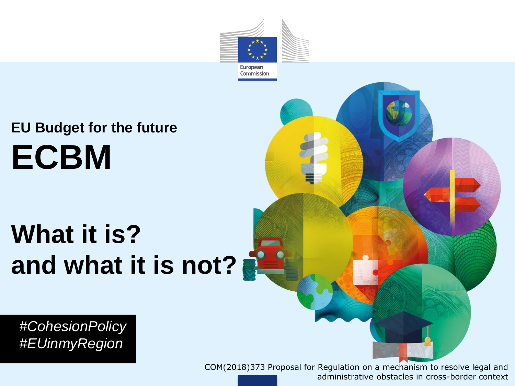

# **What it is? and what it is not?**

European Commission

*#CohesionPolicy #EUinmyRegion*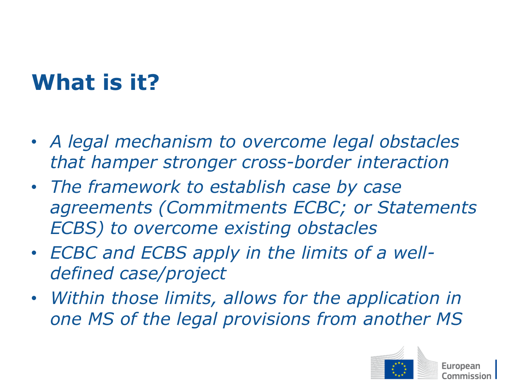## **What is it?**

- *A legal mechanism to overcome legal obstacles that hamper stronger cross-border interaction*
- *The framework to establish case by case agreements (Commitments ECBC; or Statements ECBS) to overcome existing obstacles*
- *ECBC and ECBS apply in the limits of a welldefined case/project*
- *Within those limits, allows for the application in one MS of the legal provisions from another MS*

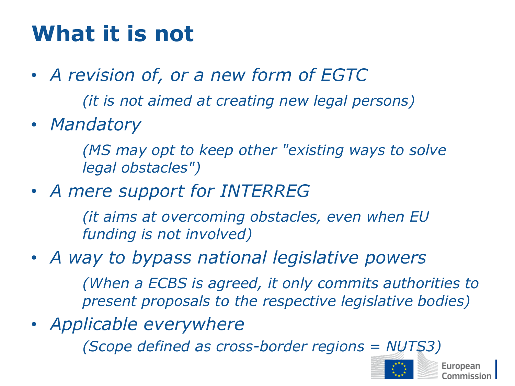### **What it is not**

- *A revision of, or a new form of EGTC (it is not aimed at creating new legal persons)*
- *Mandatory*

*(MS may opt to keep other "existing ways to solve legal obstacles")*

• *A mere support for INTERREG* 

*(it aims at overcoming obstacles, even when EU funding is not involved)*

• *A way to bypass national legislative powers*

*(When a ECBS is agreed, it only commits authorities to present proposals to the respective legislative bodies)* 

• *Applicable everywhere*

*(Scope defined as cross-border regions = NUTS3)*

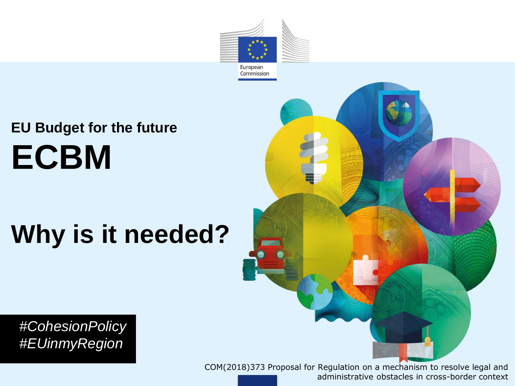

# **Why is it needed?**



*#CohesionPolicy #EUinmyRegion*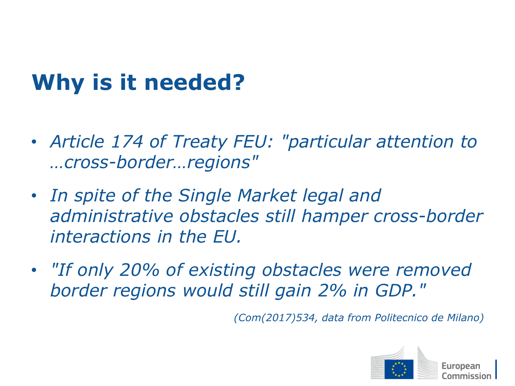## **Why is it needed?**

- *Article 174 of Treaty FEU: "particular attention to …cross-border…regions"*
- *In spite of the Single Market legal and administrative obstacles still hamper cross-border interactions in the EU.*
- *"If only 20% of existing obstacles were removed border regions would still gain 2% in GDP."*

*(Com(2017)534, data from Politecnico de Milano)*

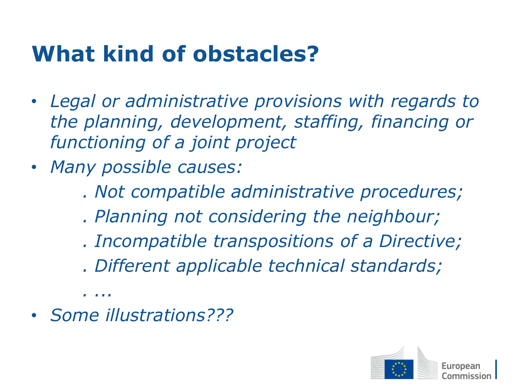### **What kind of obstacles?**

- *Legal or administrative provisions with regards to the planning, development, staffing, financing or functioning of a joint project*
- *Many possible causes:* 
	- *. Not compatible administrative procedures;*
	- *. Planning not considering the neighbour;*
	- *. Incompatible transpositions of a Directive;*
	- *. Different applicable technical standards;*
- *Some illustrations???*

*. ...*

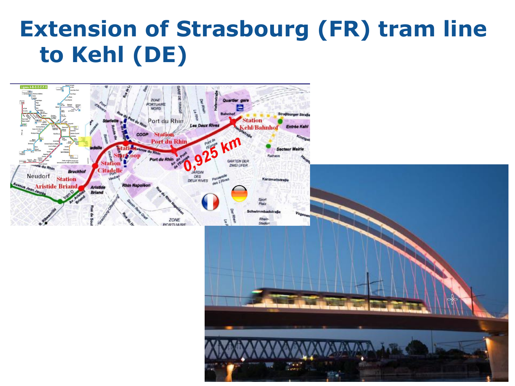### **Extension of Strasbourg (FR) tram line to Kehl (DE)**

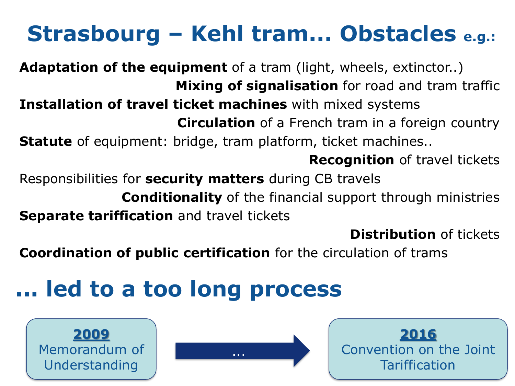### **Strasbourg – Kehl tram... Obstacles e.g.:**

**Adaptation of the equipment** of a tram (light, wheels, extinctor..) **Mixing of signalisation** for road and tram traffic **Installation of travel ticket machines** with mixed systems **Circulation** of a French tram in a foreign country **Statute** of equipment: bridge, tram platform, ticket machines.. **Recognition** of travel tickets Responsibilities for **security matters** during CB travels **Conditionality** of the financial support through ministries

**Separate tariffication** and travel tickets

**Distribution** of tickets

**Coordination of public certification** for the circulation of trams

### **... led to a too long process**





**2016** Convention on the Joint Tariffication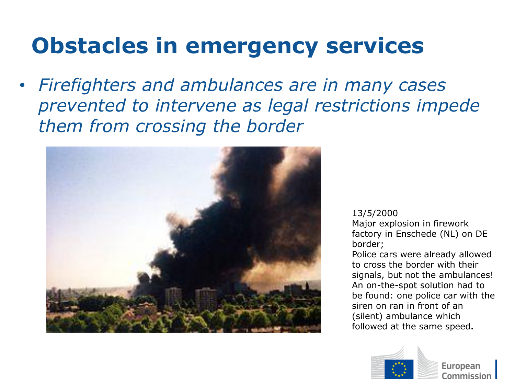### **Obstacles in emergency services**

• *Firefighters and ambulances are in many cases prevented to intervene as legal restrictions impede them from crossing the border* 



#### 13/5/2000

Major explosion in firework factory in Enschede (NL) on DE border;

Police cars were already allowed to cross the border with their signals, but not the ambulances! An on-the-spot solution had to be found: one police car with the siren on ran in front of an (silent) ambulance which followed at the same speed**.**

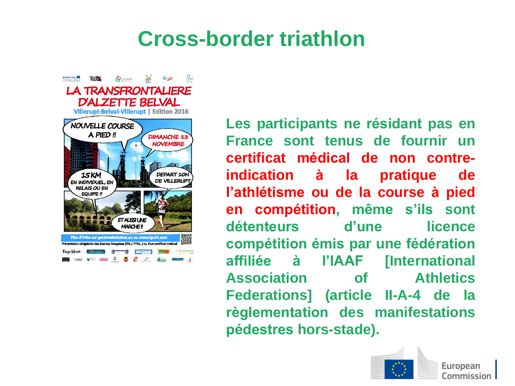### **Cross-border triathlon**

ESCH

**LA TRANSFRONTALIERE D'ALZETTE BELVAL** Villerupt-Belval-Villerupt | Edition 2016 NOUVELLE COURSE A PIED !! **DIMANCHE 13 NOVEMBRE DEPART 10** 15 KM **DE VILLERUF** EN INDIVIDUEL, EN **RELAIS OU EN EQUIPE!! ETALISSIUNE** MARCHE! Plus d'infos sur gectalzettebelval.eu ou www.tgv54.com Présentation obligatoire des licences françaises (FFA / FFTri...) ou d'un certificat médica Tageblatt Citotidien **9 9 DECTH ON MORE IN STRAIN SECTION** 

**Q** ALEXANDRE

**Les participants ne résidant pas en France sont tenus de fournir un certificat médical de non contreindication à la pratique de l'athlétisme ou de la course à pied en compétition, même s'ils sont détenteurs d'une licence compétition émis par une fédération affiliée à l'IAAF [International Association of Athletics Federations] (article II-A-4 de la règlementation des manifestations pédestres hors-stade).**

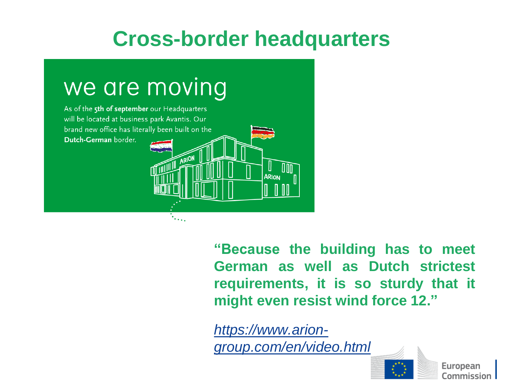### **Cross-border headquarters**



**"Because the building has to meet German as well as Dutch strictest requirements, it is so sturdy that it might even resist wind force 12."**

*https://www.arion[group.com/en/video.html](https://myremote.ec.europa.eu/owa/,DanaInfo=.arfolD1kiujswLrqOu.979vV1G,SSL+redir.aspx?C=KGr3O_p0Bgz2d1pKj6QJB_hJGMqBcD8CYm8Q63b0p4IkaZKS5c_VCA..&URL=https://www.arion-group.com/en/video.html)*

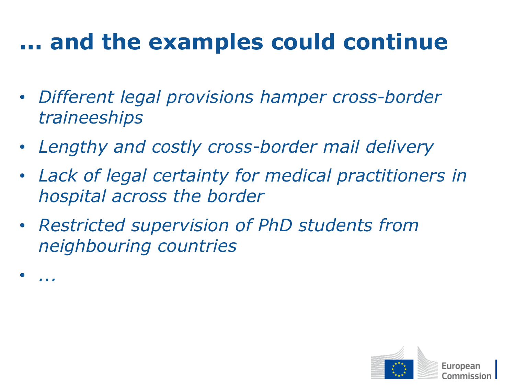### **... and the examples could continue**

- *Different legal provisions hamper cross-border traineeships*
- *Lengthy and costly cross-border mail delivery*
- *Lack of legal certainty for medical practitioners in hospital across the border*
- *Restricted supervision of PhD students from neighbouring countries*

• *...* 

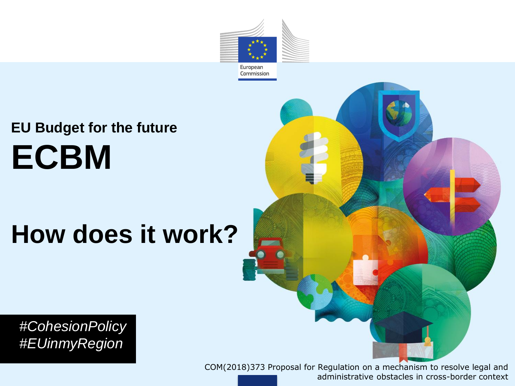

# **How does it work?**



*#CohesionPolicy #EUinmyRegion*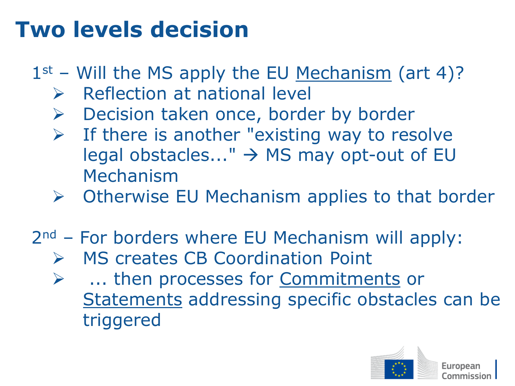### **Two levels decision**

- $1<sup>st</sup>$  Will the MS apply the EU Mechanism (art 4)?
	- ➢ Reflection at national level
	- ➢ Decision taken once, border by border
	- $\triangleright$  If there is another "existing way to resolve legal obstacles..."  $\rightarrow$  MS may opt-out of EU Mechanism
	- ➢ Otherwise EU Mechanism applies to that border
- 2<sup>nd</sup> For borders where EU Mechanism will apply:
	- ➢ MS creates CB Coordination Point
	- ➢ ... then processes for Commitments or Statements addressing specific obstacles can be triggered

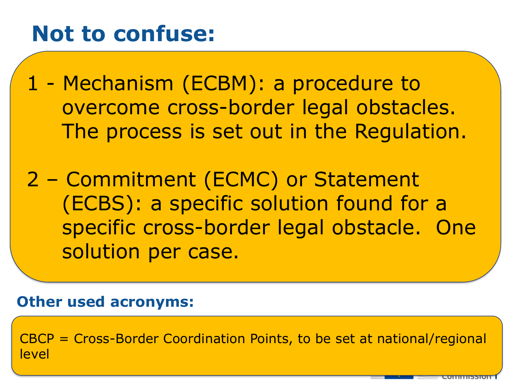### **Not to confuse:**

1 - Mechanism (ECBM): a procedure to overcome cross-border legal obstacles. The process is set out in the Regulation.

2 – Commitment (ECMC) or Statement (ECBS): a specific solution found for a specific cross-border legal obstacle. One solution per case.

### **Other used acronyms:**

CBCP = Cross-Border Coordination Points, to be set at national/regional level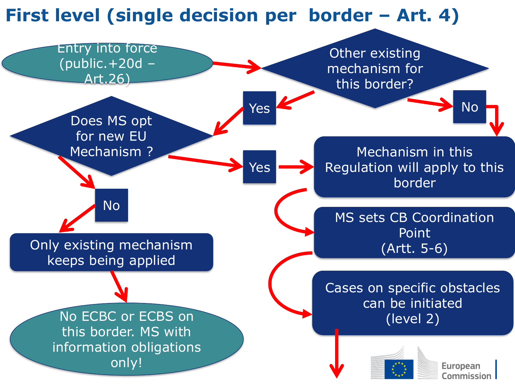

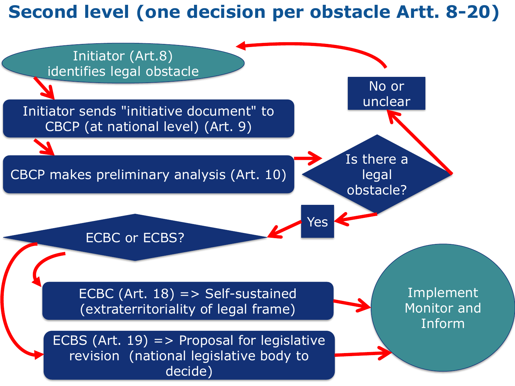### **Second level (one decision per obstacle Artt. 8-20)**